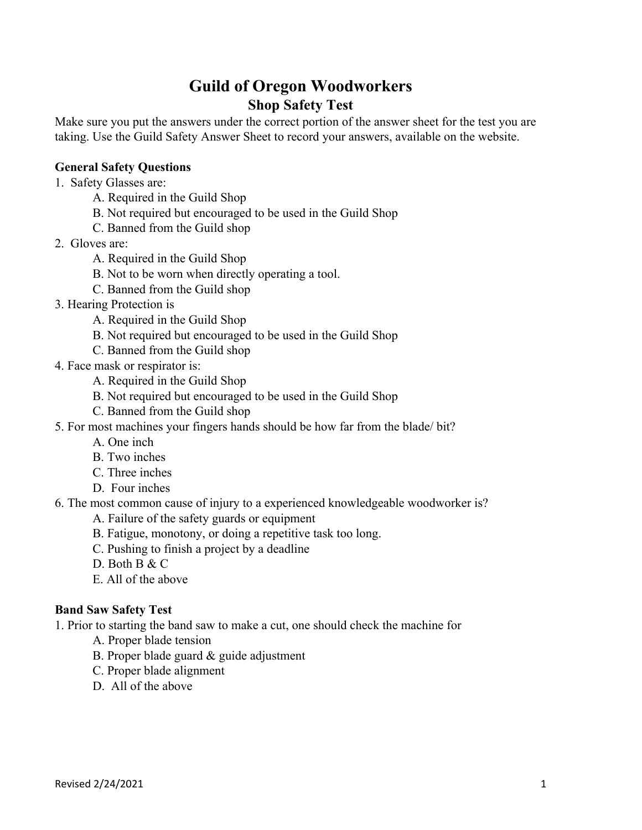# **Guild of Oregon Woodworkers Shop Safety Test**

Make sure you put the answers under the correct portion of the answer sheet for the test you are taking. Use the Guild Safety Answer Sheet to record your answers, available on the website.

# **General Safety Questions**

- 1. Safety Glasses are:
	- A. Required in the Guild Shop
	- B. Not required but encouraged to be used in the Guild Shop
	- C. Banned from the Guild shop
- 2. Gloves are:
	- A. Required in the Guild Shop
	- B. Not to be worn when directly operating a tool.
	- C. Banned from the Guild shop
- 3. Hearing Protection is
	- A. Required in the Guild Shop
	- B. Not required but encouraged to be used in the Guild Shop
	- C. Banned from the Guild shop
- 4. Face mask or respirator is:
	- A. Required in the Guild Shop
	- B. Not required but encouraged to be used in the Guild Shop
	- C. Banned from the Guild shop
- 5. For most machines your fingers hands should be how far from the blade/ bit?
	- A. One inch
	- B. Two inches
	- C. Three inches
	- D. Four inches
- 6. The most common cause of injury to a experienced knowledgeable woodworker is?
	- A. Failure of the safety guards or equipment
	- B. Fatigue, monotony, or doing a repetitive task too long.
	- C. Pushing to finish a project by a deadline
	- D. Both B & C
	- E. All of the above

#### **Band Saw Safety Test**

1. Prior to starting the band saw to make a cut, one should check the machine for

- A. Proper blade tension
- B. Proper blade guard & guide adjustment
- C. Proper blade alignment
- D. All of the above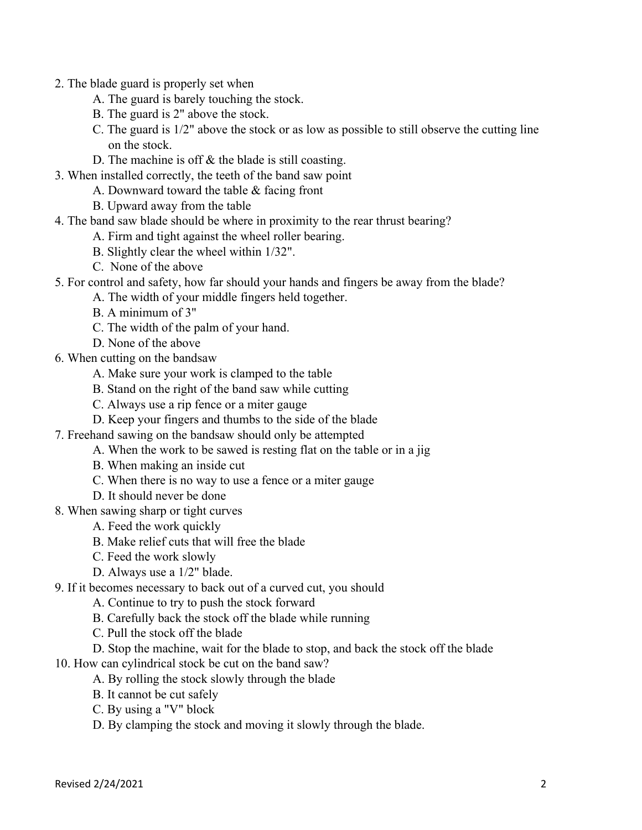- 2. The blade guard is properly set when
	- A. The guard is barely touching the stock.
	- B. The guard is 2" above the stock.
	- C. The guard is 1/2" above the stock or as low as possible to still observe the cutting line on the stock.
	- D. The machine is off & the blade is still coasting.
- 3. When installed correctly, the teeth of the band saw point
	- A. Downward toward the table & facing front
	- B. Upward away from the table
- 4. The band saw blade should be where in proximity to the rear thrust bearing?
	- A. Firm and tight against the wheel roller bearing.
	- B. Slightly clear the wheel within 1/32".
	- C. None of the above
- 5. For control and safety, how far should your hands and fingers be away from the blade?
	- A. The width of your middle fingers held together.
	- B. A minimum of 3"
	- C. The width of the palm of your hand.
	- D. None of the above
- 6. When cutting on the bandsaw
	- A. Make sure your work is clamped to the table
	- B. Stand on the right of the band saw while cutting
	- C. Always use a rip fence or a miter gauge
	- D. Keep your fingers and thumbs to the side of the blade
- 7. Freehand sawing on the bandsaw should only be attempted
	- A. When the work to be sawed is resting flat on the table or in a jig
	- B. When making an inside cut
	- C. When there is no way to use a fence or a miter gauge
	- D. It should never be done
- 8. When sawing sharp or tight curves
	- A. Feed the work quickly
	- B. Make relief cuts that will free the blade
	- C. Feed the work slowly
	- D. Always use a 1/2" blade.
- 9. If it becomes necessary to back out of a curved cut, you should
	- A. Continue to try to push the stock forward
	- B. Carefully back the stock off the blade while running
	- C. Pull the stock off the blade
	- D. Stop the machine, wait for the blade to stop, and back the stock off the blade
- 10. How can cylindrical stock be cut on the band saw?
	- A. By rolling the stock slowly through the blade
	- B. It cannot be cut safely
	- C. By using a "V" block
	- D. By clamping the stock and moving it slowly through the blade.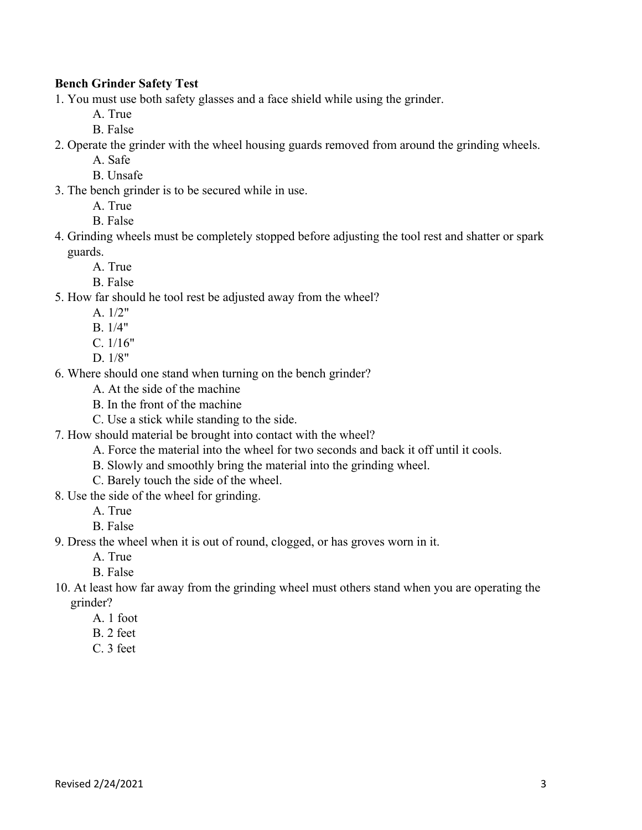# **Bench Grinder Safety Test**

1. You must use both safety glasses and a face shield while using the grinder.

A. True

- B. False
- 2. Operate the grinder with the wheel housing guards removed from around the grinding wheels.

A. Safe

- B. Unsafe
- 3. The bench grinder is to be secured while in use.
	- A. True
	- B. False
- 4. Grinding wheels must be completely stopped before adjusting the tool rest and shatter or spark guards.
	- A. True
	- B. False
- 5. How far should he tool rest be adjusted away from the wheel?
	- A. 1/2"
	- B. 1/4"
	- C. 1/16"
	- D. 1/8"
- 6. Where should one stand when turning on the bench grinder?
	- A. At the side of the machine
	- B. In the front of the machine
	- C. Use a stick while standing to the side.
- 7. How should material be brought into contact with the wheel?
	- A. Force the material into the wheel for two seconds and back it off until it cools.
	- B. Slowly and smoothly bring the material into the grinding wheel.
	- C. Barely touch the side of the wheel.
- 8. Use the side of the wheel for grinding.

A. True

B. False

9. Dress the wheel when it is out of round, clogged, or has groves worn in it.

A. True

B. False

- 10. At least how far away from the grinding wheel must others stand when you are operating the grinder?
	- A. 1 foot
	- B. 2 feet
	- C. 3 feet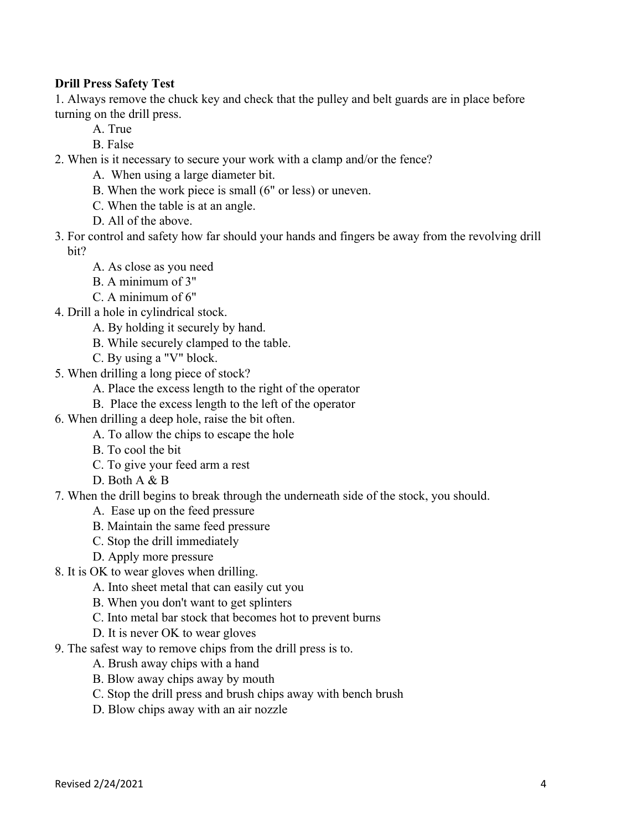# **Drill Press Safety Test**

1. Always remove the chuck key and check that the pulley and belt guards are in place before turning on the drill press.

- A. True
- B. False
- 2. When is it necessary to secure your work with a clamp and/or the fence?
	- A. When using a large diameter bit.
	- B. When the work piece is small (6" or less) or uneven.
	- C. When the table is at an angle.
	- D. All of the above.
- 3. For control and safety how far should your hands and fingers be away from the revolving drill bit?
	- A. As close as you need
	- B. A minimum of 3"
	- C. A minimum of 6"
- 4. Drill a hole in cylindrical stock.
	- A. By holding it securely by hand.
	- B. While securely clamped to the table.
	- C. By using a "V" block.
- 5. When drilling a long piece of stock?
	- A. Place the excess length to the right of the operator
	- B. Place the excess length to the left of the operator
- 6. When drilling a deep hole, raise the bit often.
	- A. To allow the chips to escape the hole
	- B. To cool the bit
	- C. To give your feed arm a rest
	- D. Both A & B
- 7. When the drill begins to break through the underneath side of the stock, you should.
	- A. Ease up on the feed pressure
	- B. Maintain the same feed pressure
	- C. Stop the drill immediately
	- D. Apply more pressure
- 8. It is OK to wear gloves when drilling.
	- A. Into sheet metal that can easily cut you
	- B. When you don't want to get splinters
	- C. Into metal bar stock that becomes hot to prevent burns
	- D. It is never OK to wear gloves
- 9. The safest way to remove chips from the drill press is to.
	- A. Brush away chips with a hand
	- B. Blow away chips away by mouth
	- C. Stop the drill press and brush chips away with bench brush
	- D. Blow chips away with an air nozzle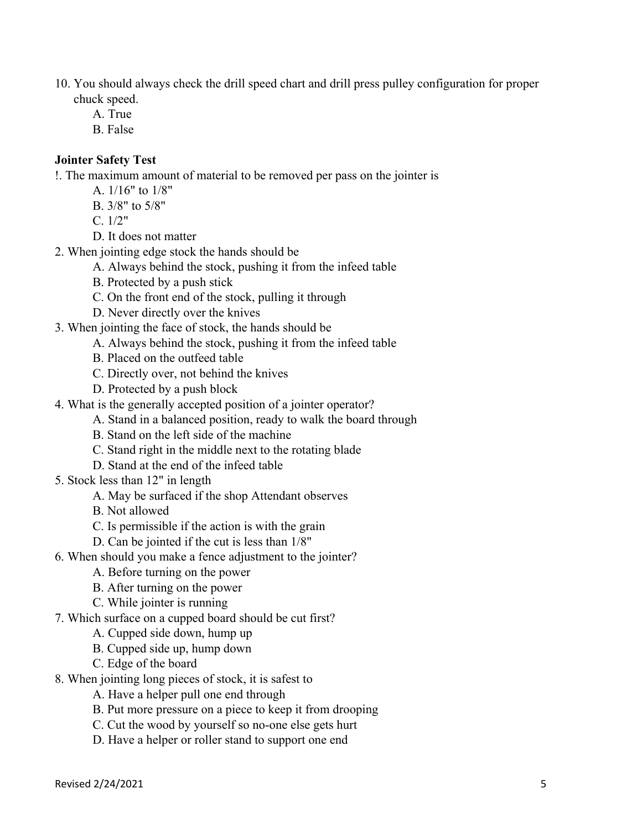10. You should always check the drill speed chart and drill press pulley configuration for proper chuck speed.

- A. True
- B. False

# **Jointer Safety Test**

!. The maximum amount of material to be removed per pass on the jointer is

- A. 1/16" to 1/8"
- B. 3/8" to 5/8"

 $C. 1/2"$ 

- D. It does not matter
- 2. When jointing edge stock the hands should be
	- A. Always behind the stock, pushing it from the infeed table
	- B. Protected by a push stick
	- C. On the front end of the stock, pulling it through
	- D. Never directly over the knives
- 3. When jointing the face of stock, the hands should be
	- A. Always behind the stock, pushing it from the infeed table
	- B. Placed on the outfeed table
	- C. Directly over, not behind the knives
	- D. Protected by a push block
- 4. What is the generally accepted position of a jointer operator?
	- A. Stand in a balanced position, ready to walk the board through
	- B. Stand on the left side of the machine
	- C. Stand right in the middle next to the rotating blade
	- D. Stand at the end of the infeed table
- 5. Stock less than 12" in length
	- A. May be surfaced if the shop Attendant observes
	- B. Not allowed
	- C. Is permissible if the action is with the grain
	- D. Can be jointed if the cut is less than 1/8"
- 6. When should you make a fence adjustment to the jointer?
	- A. Before turning on the power
	- B. After turning on the power
	- C. While jointer is running
- 7. Which surface on a cupped board should be cut first?
	- A. Cupped side down, hump up
	- B. Cupped side up, hump down
	- C. Edge of the board
- 8. When jointing long pieces of stock, it is safest to
	- A. Have a helper pull one end through
	- B. Put more pressure on a piece to keep it from drooping
	- C. Cut the wood by yourself so no-one else gets hurt
	- D. Have a helper or roller stand to support one end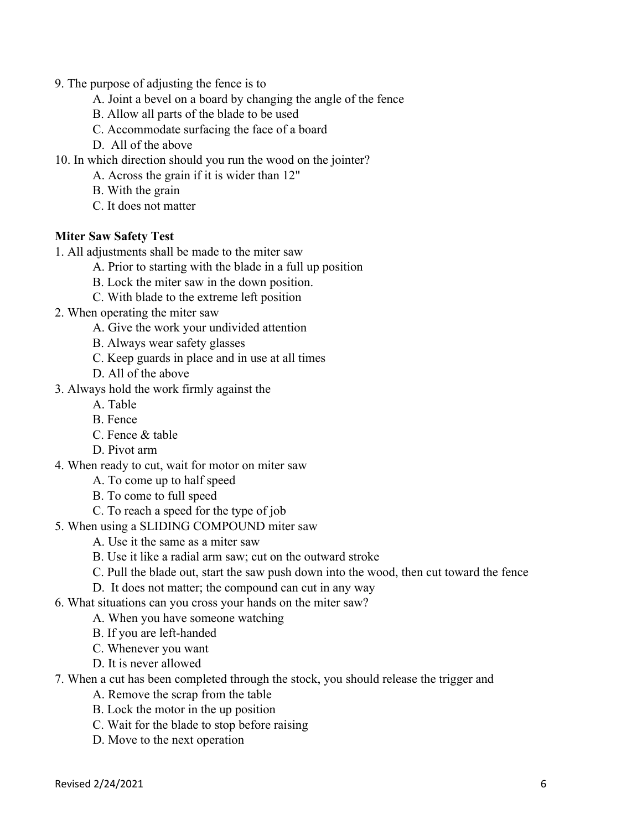- 9. The purpose of adjusting the fence is to
	- A. Joint a bevel on a board by changing the angle of the fence
	- B. Allow all parts of the blade to be used
	- C. Accommodate surfacing the face of a board
	- D. All of the above
- 10. In which direction should you run the wood on the jointer?
	- A. Across the grain if it is wider than 12"
	- B. With the grain
	- C. It does not matter

#### **Miter Saw Safety Test**

- 1. All adjustments shall be made to the miter saw
	- A. Prior to starting with the blade in a full up position
	- B. Lock the miter saw in the down position.
	- C. With blade to the extreme left position
- 2. When operating the miter saw
	- A. Give the work your undivided attention
	- B. Always wear safety glasses
	- C. Keep guards in place and in use at all times
	- D. All of the above
- 3. Always hold the work firmly against the
	- A. Table
	- B. Fence
	- C. Fence & table
	- D. Pivot arm
- 4. When ready to cut, wait for motor on miter saw
	- A. To come up to half speed
	- B. To come to full speed
	- C. To reach a speed for the type of job
- 5. When using a SLIDING COMPOUND miter saw
	- A. Use it the same as a miter saw
	- B. Use it like a radial arm saw; cut on the outward stroke
	- C. Pull the blade out, start the saw push down into the wood, then cut toward the fence
	- D. It does not matter; the compound can cut in any way
- 6. What situations can you cross your hands on the miter saw?
	- A. When you have someone watching
	- B. If you are left-handed
	- C. Whenever you want
	- D. It is never allowed
- 7. When a cut has been completed through the stock, you should release the trigger and
	- A. Remove the scrap from the table
	- B. Lock the motor in the up position
	- C. Wait for the blade to stop before raising
	- D. Move to the next operation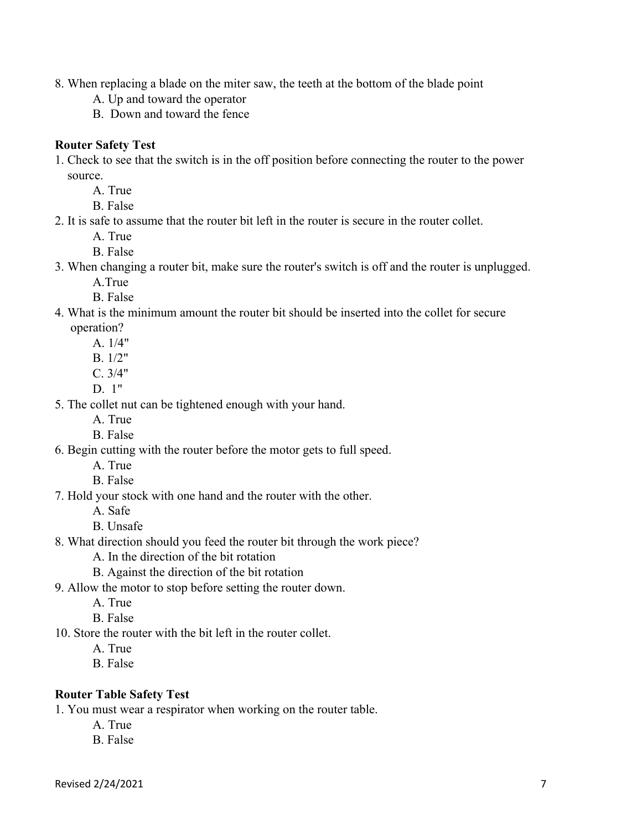- 8. When replacing a blade on the miter saw, the teeth at the bottom of the blade point
	- A. Up and toward the operator
	- B. Down and toward the fence

#### **Router Safety Test**

- 1. Check to see that the switch is in the off position before connecting the router to the power source.
	- A. True
	- B. False
- 2. It is safe to assume that the router bit left in the router is secure in the router collet.
	- A. True
	- B. False
- 3. When changing a router bit, make sure the router's switch is off and the router is unplugged.
	- A.True
	- B. False
- 4. What is the minimum amount the router bit should be inserted into the collet for secure operation?
	- A. 1/4"
	- B. 1/2"
	- C. 3/4"
	- D. 1"
- 5. The collet nut can be tightened enough with your hand.
	- A. True
	- B. False
- 6. Begin cutting with the router before the motor gets to full speed.
	- A. True
	- B. False
- 7. Hold your stock with one hand and the router with the other.
	- A. Safe
	- B. Unsafe
- 8. What direction should you feed the router bit through the work piece?
	- A. In the direction of the bit rotation
	- B. Against the direction of the bit rotation
- 9. Allow the motor to stop before setting the router down.
	- A. True
	- B. False
- 10. Store the router with the bit left in the router collet.
	- A. True
	- B. False

#### **Router Table Safety Test**

1. You must wear a respirator when working on the router table.

- A. True
- B. False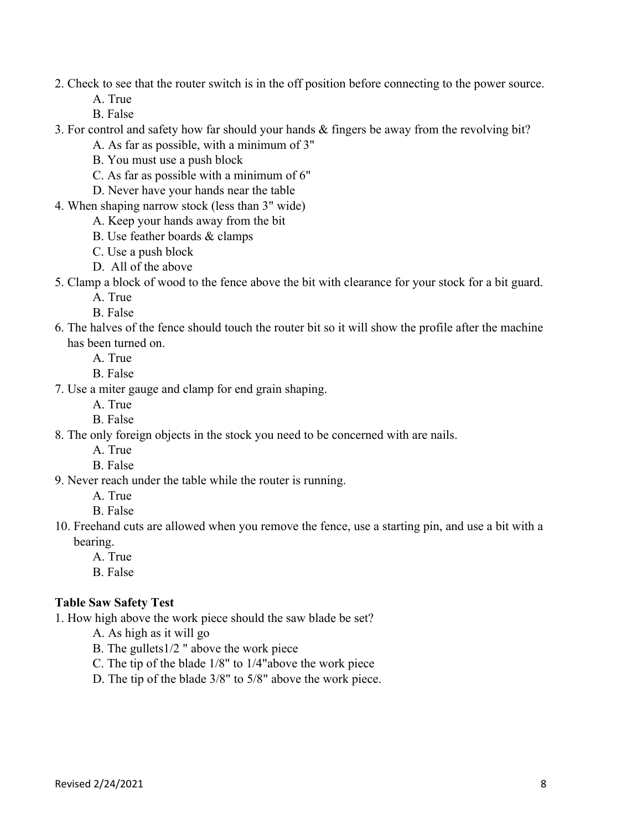#### 2. Check to see that the router switch is in the off position before connecting to the power source.

A. True

- B. False
- 3. For control and safety how far should your hands & fingers be away from the revolving bit?
	- A. As far as possible, with a minimum of 3"
	- B. You must use a push block
	- C. As far as possible with a minimum of 6"
	- D. Never have your hands near the table
- 4. When shaping narrow stock (less than 3" wide)
	- A. Keep your hands away from the bit
	- B. Use feather boards & clamps
	- C. Use a push block
	- D. All of the above
- 5. Clamp a block of wood to the fence above the bit with clearance for your stock for a bit guard.
	- A. True
	- B. False
- 6. The halves of the fence should touch the router bit so it will show the profile after the machine has been turned on.
	- A. True
	- B. False
- 7. Use a miter gauge and clamp for end grain shaping.
	- A. True
	- B. False
- 8. The only foreign objects in the stock you need to be concerned with are nails.
	- A. True
	- B. False
- 9. Never reach under the table while the router is running.
	- A. True
	- B. False
- 10. Freehand cuts are allowed when you remove the fence, use a starting pin, and use a bit with a bearing.
	- A. True
	- B. False

#### **Table Saw Safety Test**

1. How high above the work piece should the saw blade be set?

- A. As high as it will go
- B. The gullets1/2 " above the work piece
- C. The tip of the blade 1/8" to 1/4"above the work piece
- D. The tip of the blade 3/8" to 5/8" above the work piece.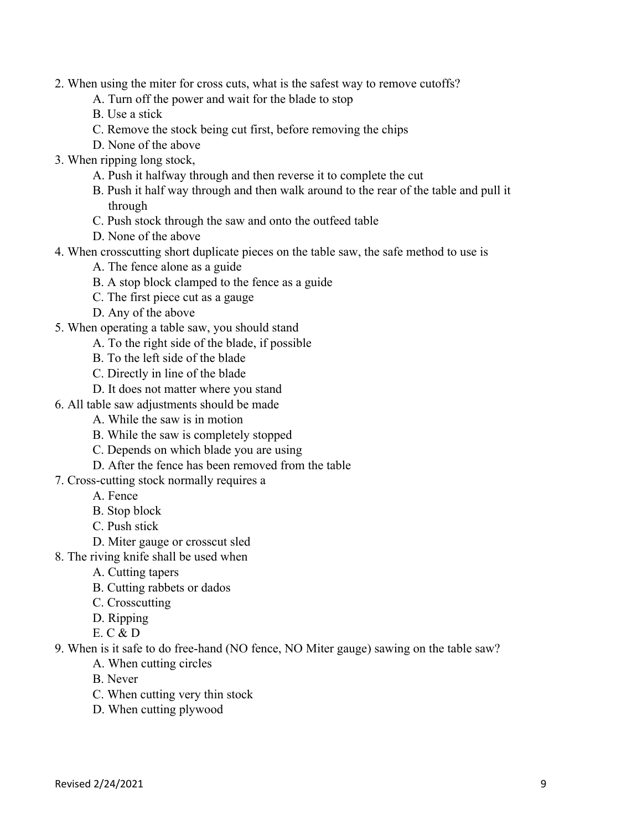- 2. When using the miter for cross cuts, what is the safest way to remove cutoffs?
	- A. Turn off the power and wait for the blade to stop
	- B. Use a stick
	- C. Remove the stock being cut first, before removing the chips
	- D. None of the above
- 3. When ripping long stock,
	- A. Push it halfway through and then reverse it to complete the cut
	- B. Push it half way through and then walk around to the rear of the table and pull it through
	- C. Push stock through the saw and onto the outfeed table
	- D. None of the above
- 4. When crosscutting short duplicate pieces on the table saw, the safe method to use is
	- A. The fence alone as a guide
	- B. A stop block clamped to the fence as a guide
	- C. The first piece cut as a gauge
	- D. Any of the above
- 5. When operating a table saw, you should stand
	- A. To the right side of the blade, if possible
	- B. To the left side of the blade
	- C. Directly in line of the blade
	- D. It does not matter where you stand
- 6. All table saw adjustments should be made
	- A. While the saw is in motion
	- B. While the saw is completely stopped
	- C. Depends on which blade you are using
	- D. After the fence has been removed from the table
- 7. Cross-cutting stock normally requires a
	- A. Fence
	- B. Stop block
	- C. Push stick
	- D. Miter gauge or crosscut sled
- 8. The riving knife shall be used when
	- A. Cutting tapers
	- B. Cutting rabbets or dados
	- C. Crosscutting
	- D. Ripping
	- E. C & D
- 9. When is it safe to do free-hand (NO fence, NO Miter gauge) sawing on the table saw?
	- A. When cutting circles
	- B. Never
	- C. When cutting very thin stock
	- D. When cutting plywood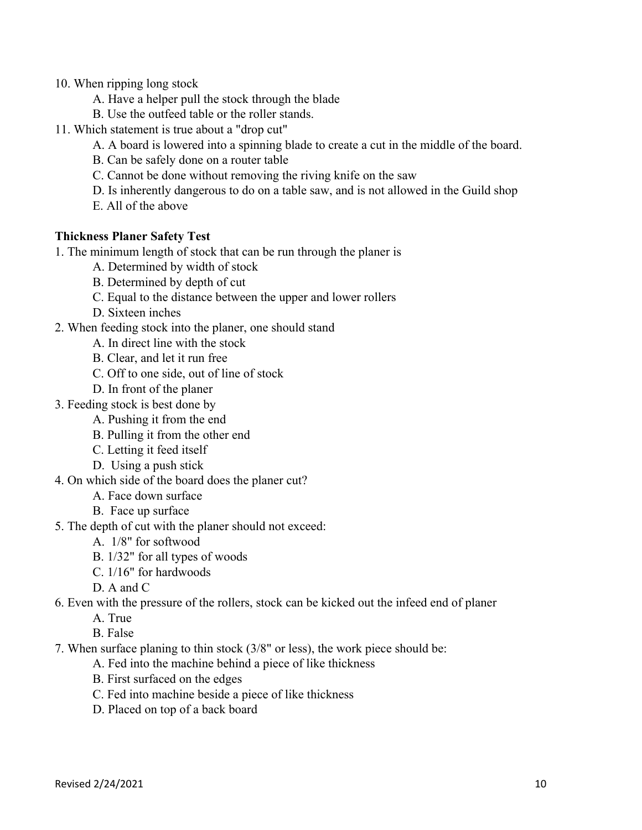- 10. When ripping long stock
	- A. Have a helper pull the stock through the blade
	- B. Use the outfeed table or the roller stands.
- 11. Which statement is true about a "drop cut"
	- A. A board is lowered into a spinning blade to create a cut in the middle of the board.
	- B. Can be safely done on a router table
	- C. Cannot be done without removing the riving knife on the saw
	- D. Is inherently dangerous to do on a table saw, and is not allowed in the Guild shop
	- E. All of the above

# **Thickness Planer Safety Test**

1. The minimum length of stock that can be run through the planer is

- A. Determined by width of stock
- B. Determined by depth of cut
- C. Equal to the distance between the upper and lower rollers
- D. Sixteen inches
- 2. When feeding stock into the planer, one should stand
	- A. In direct line with the stock
	- B. Clear, and let it run free
	- C. Off to one side, out of line of stock
	- D. In front of the planer
- 3. Feeding stock is best done by
	- A. Pushing it from the end
	- B. Pulling it from the other end
	- C. Letting it feed itself
	- D. Using a push stick
- 4. On which side of the board does the planer cut?
	- A. Face down surface
	- B. Face up surface
- 5. The depth of cut with the planer should not exceed:
	- A. 1/8" for softwood
	- B. 1/32" for all types of woods
	- C. 1/16" for hardwoods
	- D. A and C
- 6. Even with the pressure of the rollers, stock can be kicked out the infeed end of planer
	- A. True
	- B. False
- 7. When surface planing to thin stock (3/8" or less), the work piece should be:
	- A. Fed into the machine behind a piece of like thickness
	- B. First surfaced on the edges
	- C. Fed into machine beside a piece of like thickness
	- D. Placed on top of a back board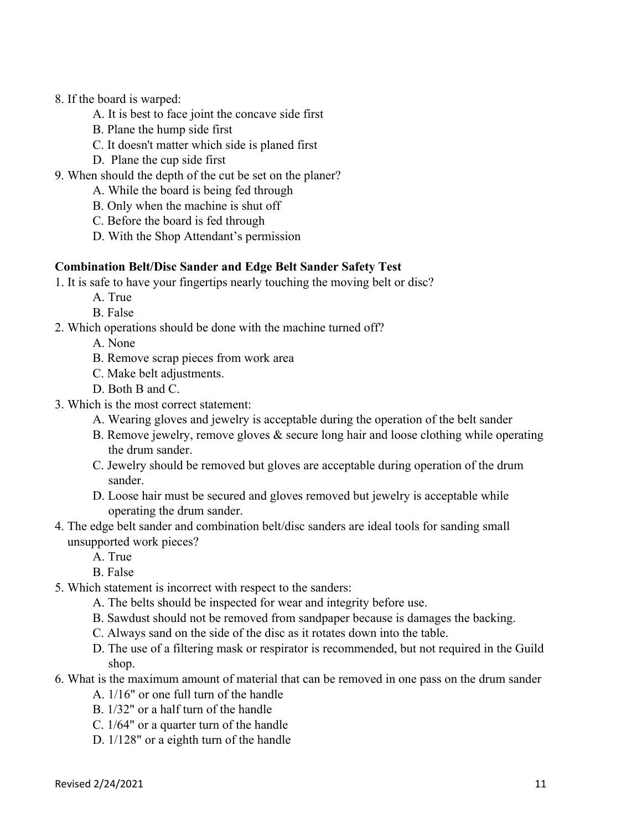- 8. If the board is warped:
	- A. It is best to face joint the concave side first
	- B. Plane the hump side first
	- C. It doesn't matter which side is planed first
	- D. Plane the cup side first
- 9. When should the depth of the cut be set on the planer?
	- A. While the board is being fed through
	- B. Only when the machine is shut off
	- C. Before the board is fed through
	- D. With the Shop Attendant's permission

#### **Combination Belt/Disc Sander and Edge Belt Sander Safety Test**

- 1. It is safe to have your fingertips nearly touching the moving belt or disc?
	- A. True
	- B. False
- 2. Which operations should be done with the machine turned off?
	- A. None
	- B. Remove scrap pieces from work area
	- C. Make belt adjustments.
	- D. Both B and C.
- 3. Which is the most correct statement:
	- A. Wearing gloves and jewelry is acceptable during the operation of the belt sander
	- B. Remove jewelry, remove gloves & secure long hair and loose clothing while operating the drum sander.
	- C. Jewelry should be removed but gloves are acceptable during operation of the drum sander.
	- D. Loose hair must be secured and gloves removed but jewelry is acceptable while operating the drum sander.
- 4. The edge belt sander and combination belt/disc sanders are ideal tools for sanding small unsupported work pieces?
	- A. True

B. False

- 5. Which statement is incorrect with respect to the sanders:
	- A. The belts should be inspected for wear and integrity before use.
	- B. Sawdust should not be removed from sandpaper because is damages the backing.
	- C. Always sand on the side of the disc as it rotates down into the table.
	- D. The use of a filtering mask or respirator is recommended, but not required in the Guild shop.
- 6. What is the maximum amount of material that can be removed in one pass on the drum sander
	- A. 1/16" or one full turn of the handle
	- B. 1/32" or a half turn of the handle
	- C. 1/64" or a quarter turn of the handle
	- D. 1/128" or a eighth turn of the handle